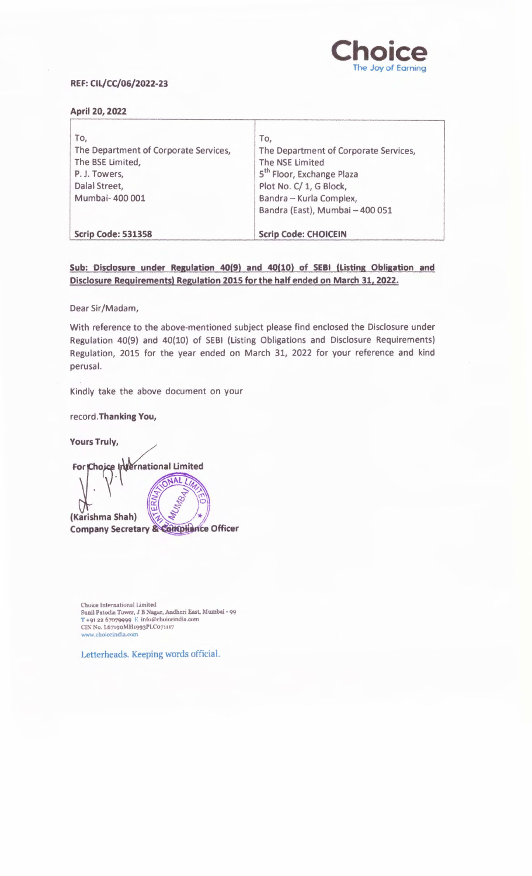

# REF: CIL/CC/06/2022-23

## April 20, 2022

| To,                                   | To,                                   |
|---------------------------------------|---------------------------------------|
| The Department of Corporate Services, | The Department of Corporate Services, |
| The BSE Limited,                      | The NSE Limited                       |
| P.J. Towers,                          | 5 <sup>th</sup> Floor, Exchange Plaza |
| Dalal Street,                         | Plot No. C/ 1, G Block,               |
| Mumbai- 400 001                       | Bandra - Kurla Complex,               |
|                                       | Bandra (East), Mumbai - 400 051       |
| <b>Scrip Code: 531358</b>             | <b>Scrip Code: CHOICEIN</b>           |

# Sub: Disclosure under Regulation 40(9) and 40(10) of SEBI (Listing Obligation and Disclosure Requirements) Regulation 2015 for the half ended on March 31, 2022.

Dear Sir/Madam,

With reference to the above-mentioned subject please find enclosed the Disclosure under Regulation 40(9) and 40(10) of SEBI (Listing Obligations and Disclosure Requirements) Regulation, 2015 for the year ended on March 31, 2022 for your reference and kind perusal.

Kindly take the above document on your

record.Thanking You,

Yours Truly,

For Choice International Limited NAL<sub>[</sub> Q  $\ddot{\phantom{0}}$ (Karishma Shah) **Company Secretary & Compliance Officer** 

Choice International Limited Sunil Patodia Tower, J B Nagar, Andheri East, Mumbai - 99<br>T +91 22 67079999 E info@choiceindia.com CIN No. L67190MH1993PLC071117 www.choiceindia.com

Letterheads. Keeping words official.